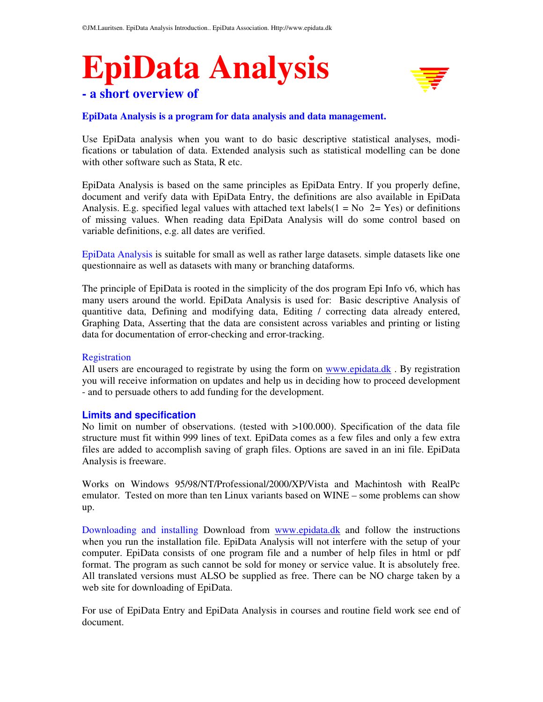# **EpiData Analysis - a short overview of**



# **EpiData Analysis is a program for data analysis and data management.**

Use EpiData analysis when you want to do basic descriptive statistical analyses, modifications or tabulation of data. Extended analysis such as statistical modelling can be done with other software such as Stata, R etc.

EpiData Analysis is based on the same principles as EpiData Entry. If you properly define, document and verify data with EpiData Entry, the definitions are also available in EpiData Analysis. E.g. specified legal values with attached text labels( $1 = No$   $2 = Yes$ ) or definitions of missing values. When reading data EpiData Analysis will do some control based on variable definitions, e.g. all dates are verified.

EpiData Analysis is suitable for small as well as rather large datasets. simple datasets like one questionnaire as well as datasets with many or branching dataforms.

The principle of EpiData is rooted in the simplicity of the dos program Epi Info v6, which has many users around the world. EpiData Analysis is used for: Basic descriptive Analysis of quantitive data, Defining and modifying data, Editing / correcting data already entered, Graphing Data, Asserting that the data are consistent across variables and printing or listing data for documentation of error-checking and error-tracking.

## Registration

All users are encouraged to registrate by using the form on www.epidata.dk . By registration you will receive information on updates and help us in deciding how to proceed development - and to persuade others to add funding for the development.

# **Limits and specification**

No limit on number of observations. (tested with >100.000). Specification of the data file structure must fit within 999 lines of text. EpiData comes as a few files and only a few extra files are added to accomplish saving of graph files. Options are saved in an ini file. EpiData Analysis is freeware.

Works on Windows 95/98/NT/Professional/2000/XP/Vista and Machintosh with RealPc emulator. Tested on more than ten Linux variants based on WINE – some problems can show up.

Downloading and installing Download from www.epidata.dk and follow the instructions when you run the installation file. EpiData Analysis will not interfere with the setup of your computer. EpiData consists of one program file and a number of help files in html or pdf format. The program as such cannot be sold for money or service value. It is absolutely free. All translated versions must ALSO be supplied as free. There can be NO charge taken by a web site for downloading of EpiData.

For use of EpiData Entry and EpiData Analysis in courses and routine field work see end of document.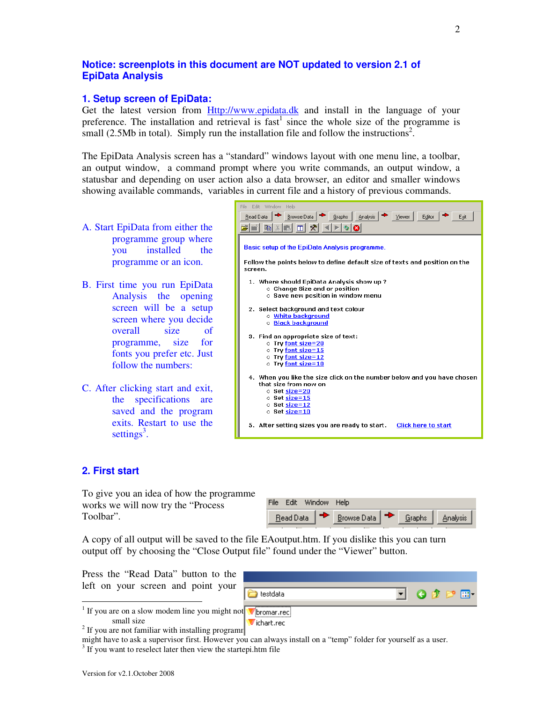# **Notice: screenplots in this document are NOT updated to version 2.1 of EpiData Analysis**

# **1. Setup screen of EpiData:**

Get the latest version from **Http://www.epidata.dk** and install in the language of your preference. The installation and retrieval is  $fast<sup>1</sup>$  since the whole size of the programme is small (2.5Mb in total). Simply run the installation file and follow the instructions<sup>2</sup>.

The EpiData Analysis screen has a "standard" windows layout with one menu line, a toolbar, an output window, a command prompt where you write commands, an output window, a statusbar and depending on user action also a data browser, an editor and smaller windows showing available commands, variables in current file and a history of previous commands.

- A. Start EpiData from either the programme group where you installed the programme or an icon.
- B. First time you run EpiData Analysis the opening screen will be a setup screen where you decide overall size of programme, size for fonts you prefer etc. Just follow the numbers:
- C. After clicking start and exit, the specifications are saved and the program exits. Restart to use the settings<sup>3</sup>.



# **2. First start**

To give you an idea of how the programme works we will now try the "Process Toolbar".

| Edit Window Help<br>File |  |                 |        |                 |
|--------------------------|--|-----------------|--------|-----------------|
| Read Data                |  | Browse Data   → | Graphs | <b>Analysis</b> |

A copy of all output will be saved to the file EAoutput.htm. If you dislike this you can turn output off by choosing the "Close Output file" found under the "Viewer" button.

Press the "Read Data" button to the left on your screen and point your



small size

 $2<sup>2</sup>$  If you are not familiar with installing programmes get  $\frac{1}{2}$  is some networks you are not familiar with installing programmes

might have to ask a supervisor first. However you can always install on a "temp" folder for yourself as a user.

 $3$  If you want to reselect later then view the startepi.htm file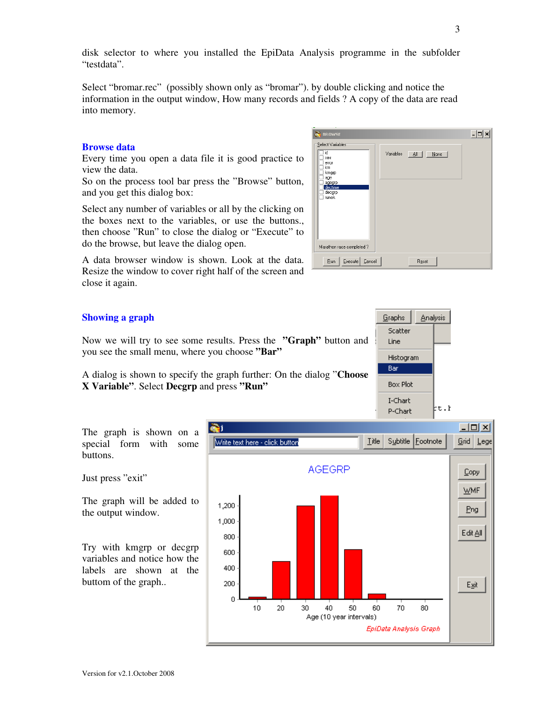disk selector to where you installed the EpiData Analysis programme in the subfolder "testdata".

Select "bromar.rec" (possibly shown only as "bromar"). by double clicking and notice the information in the output window, How many records and fields ? A copy of the data are read into memory.

## **Browse data**

Every time you open a data file it is good practice to view the data.

So on the process tool bar press the "Browse" button, and you get this dialog box:

Select any number of variables or all by the clicking on the boxes next to the variables, or use the buttons., then choose "Run" to close the dialog or "Execute" to do the browse, but leave the dialog open.

A data browser window is shown. Look at the data. Resize the window to cover right half of the screen and close it again.

# **Showing a graph**

Now we will try to see some results. Press the **"Graph"** button and you see the small menu, where you choose **"Bar"** 

A dialog is shown to specify the graph further: On the dialog "**Choose X Variable"**. Select **Decgrp** and press **"Run"** 

The graph is shown on a special form with some Write text here - click button buttons. Just press "exit" The graph will be added to 1,200 the output window. 1,000

Try with kmgrp or decgrp variables and notice how the labels are shown at the buttom of the graph..



| <b>BROWSE</b>                                                                                         |                             |  |
|-------------------------------------------------------------------------------------------------------|-----------------------------|--|
| Select Variables<br>id<br>sex<br>error<br>km.<br>kmgrp<br>age<br>agegrp<br>dectime<br>decgrp<br>runok | Variables<br>∴ ≜∥ ∣<br>Mone |  |
| Marathon race completed?                                                                              |                             |  |
| Execute<br>Cancel<br><b>Bun</b>                                                                       | Reset                       |  |

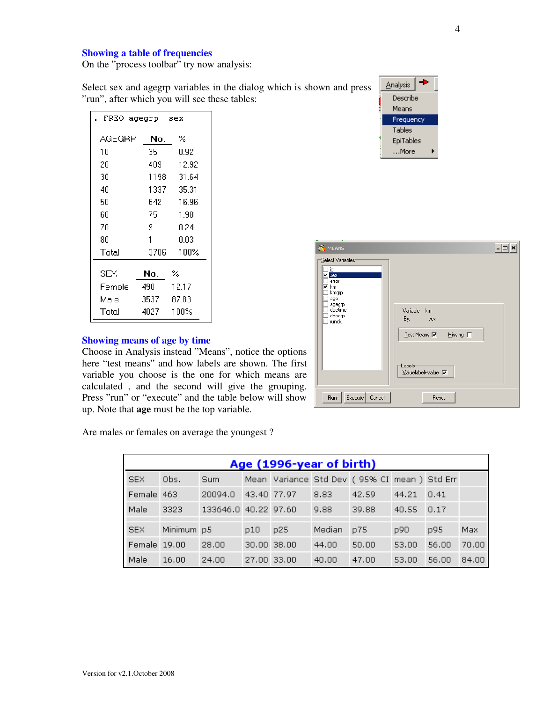## **Showing a table of frequencies**

On the "process toolbar" try now analysis:

Select sex and agegrp variables in the dialog which is shown and press "run", after which you will see these tables:

| FREQ agegrp sex |       |       |  |  |  |  |
|-----------------|-------|-------|--|--|--|--|
| AGEGRP          | No.   | %     |  |  |  |  |
| 10              | 35 -  | 0.92  |  |  |  |  |
| 20              | 489.  | 12.92 |  |  |  |  |
| 30              | 1198  | 31.64 |  |  |  |  |
| 40              | 1337. | 35.31 |  |  |  |  |
| 50              | 642.  | 16.96 |  |  |  |  |
| 60              | 75.   | 1.98  |  |  |  |  |
| 70              | 9     | 0.24  |  |  |  |  |
| 80              | 1     | 0.03  |  |  |  |  |
| Total           | 3786  | 100%  |  |  |  |  |
| SEX             | No.   | %     |  |  |  |  |
| Female          | 490.  | 12.17 |  |  |  |  |
| Male            | 3537  | 87.83 |  |  |  |  |
| Total           | 4027  | 100%  |  |  |  |  |

## **Showing means of age by time**

Choose in Analysis instead "Means", notice the options here "test means" and how labels are shown. The first variable you choose is the one for which means are calculated , and the second will give the grouping. Press "run" or "execute" and the table below will show up. Note that **age** must be the top variable.

÷ Analysis Describe Means Frequency Tables EpiTables  $\dots$ More

| ÷<br>MEANS<br>Select Variables<br>id<br><b>⊠</b> sex<br>error<br>km<br>▽<br>kmgrp |                                                                                                                                   |
|-----------------------------------------------------------------------------------|-----------------------------------------------------------------------------------------------------------------------------------|
| age<br>agegrp<br>dectime<br>decgrp<br>runok                                       | Variable<br>km<br>By:<br>sex<br>${\color{MyBlue}\mathsf{Test}\,\mathsf{Means}}$ $\overline{\blacktriangledown}$<br>Missing $\Box$ |
| Run<br>Execute<br>Cancel                                                          | Labels<br>Valuelabel+value V<br>Reset                                                                                             |

Are males or females on average the youngest ?

| Age (1996-year of birth) |            |                      |             |             |        |                                             |       |       |       |
|--------------------------|------------|----------------------|-------------|-------------|--------|---------------------------------------------|-------|-------|-------|
| <b>SEX</b>               | Obs.       | Sum                  |             |             |        | Mean Variance Std Dev (95% CI mean) Std Err |       |       |       |
| Female 463               |            | 20094.0              | 43.40 77.97 |             | 8.83   | 42.59                                       | 44.21 | 0.41  |       |
| Male                     | 3323       | 133646.0 40.22 97.60 |             |             | 9.88   | 39.88                                       | 40.55 | 0.17  |       |
| <b>SEX</b>               | Minimum p5 |                      | p10         | p25         | Median | p75                                         | p90   | p95   | Max.  |
| Female 19.00             |            | 28.00                |             | 30.00 38.00 | 44.00  | 50.00                                       | 53.00 | 56.00 | 70.00 |
| Male                     | 16.00      | 24.00                |             | 27.00 33.00 | 40.00  | 47.00                                       | 53.00 | 56.00 | 84.00 |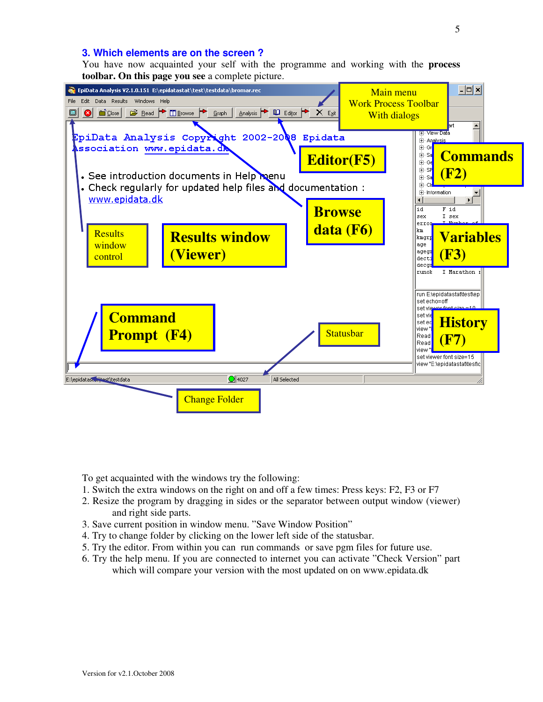## **3. Which elements are on the screen ?**

You have now acquainted your self with the programme and working with the **process toolbar. On this page you see** a complete picture.



To get acquainted with the windows try the following:

- 1. Switch the extra windows on the right on and off a few times: Press keys: F2, F3 or F7
- 2. Resize the program by dragging in sides or the separator between output window (viewer) and right side parts.
- 3. Save current position in window menu. "Save Window Position"
- 4. Try to change folder by clicking on the lower left side of the statusbar.
- 5. Try the editor. From within you can run commands or save pgm files for future use.
- 6. Try the help menu. If you are connected to internet you can activate "Check Version" part which will compare your version with the most updated on on www.epidata.dk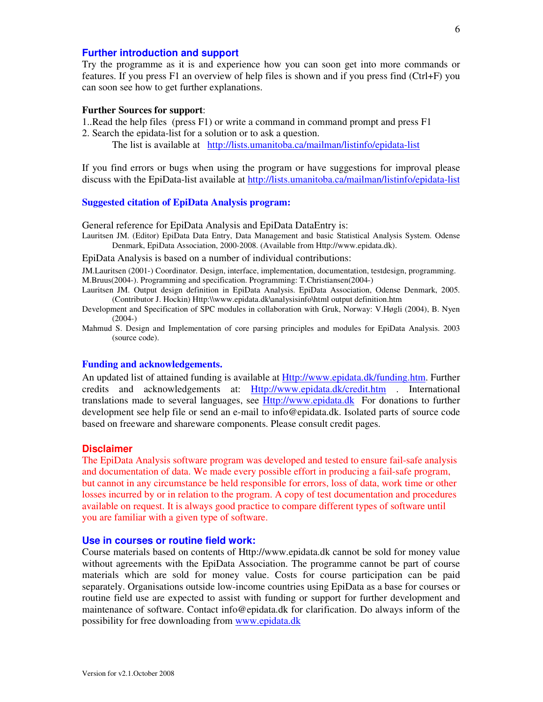# **Further introduction and support**

Try the programme as it is and experience how you can soon get into more commands or features. If you press F1 an overview of help files is shown and if you press find (Ctrl+F) you can soon see how to get further explanations.

#### **Further Sources for support**:

- 1..Read the help files (press F1) or write a command in command prompt and press F1 2. Search the epidata-list for a solution or to ask a question.
	- The list is available at http://lists.umanitoba.ca/mailman/listinfo/epidata-list

If you find errors or bugs when using the program or have suggestions for improval please discuss with the EpiData-list available at http://lists.umanitoba.ca/mailman/listinfo/epidata-list

### **Suggested citation of EpiData Analysis program:**

General reference for EpiData Analysis and EpiData DataEntry is:

Lauritsen JM. (Editor) EpiData Data Entry, Data Management and basic Statistical Analysis System. Odense Denmark, EpiData Association, 2000-2008. (Available from Http://www.epidata.dk).

EpiData Analysis is based on a number of individual contributions:

JM.Lauritsen (2001-) Coordinator. Design, interface, implementation, documentation, testdesign, programming. M.Bruus(2004-). Programming and specification. Programming: T.Christiansen(2004-)

- Lauritsen JM. Output design definition in EpiData Analysis. EpiData Association, Odense Denmark, 2005. (Contributor J. Hockin) Http:\\www.epidata.dk\analysisinfo\html output definition.htm
- Development and Specification of SPC modules in collaboration with Gruk, Norway: V.Høgli (2004), B. Nyen  $(2004-)$
- Mahmud S. Design and Implementation of core parsing principles and modules for EpiData Analysis. 2003 (source code).

#### **Funding and acknowledgements.**

An updated list of attained funding is available at Http://www.epidata.dk/funding.htm. Further credits and acknowledgements at: Http://www.epidata.dk/credit.htm . International translations made to several languages, see Http://www.epidata.dk For donations to further development see help file or send an e-mail to info@epidata.dk. Isolated parts of source code based on freeware and shareware components. Please consult credit pages.

#### **Disclaimer**

The EpiData Analysis software program was developed and tested to ensure fail-safe analysis and documentation of data. We made every possible effort in producing a fail-safe program, but cannot in any circumstance be held responsible for errors, loss of data, work time or other losses incurred by or in relation to the program. A copy of test documentation and procedures available on request. It is always good practice to compare different types of software until you are familiar with a given type of software.

#### **Use in courses or routine field work:**

Course materials based on contents of Http://www.epidata.dk cannot be sold for money value without agreements with the EpiData Association. The programme cannot be part of course materials which are sold for money value. Costs for course participation can be paid separately. Organisations outside low-income countries using EpiData as a base for courses or routine field use are expected to assist with funding or support for further development and maintenance of software. Contact info@epidata.dk for clarification. Do always inform of the possibility for free downloading from www.epidata.dk